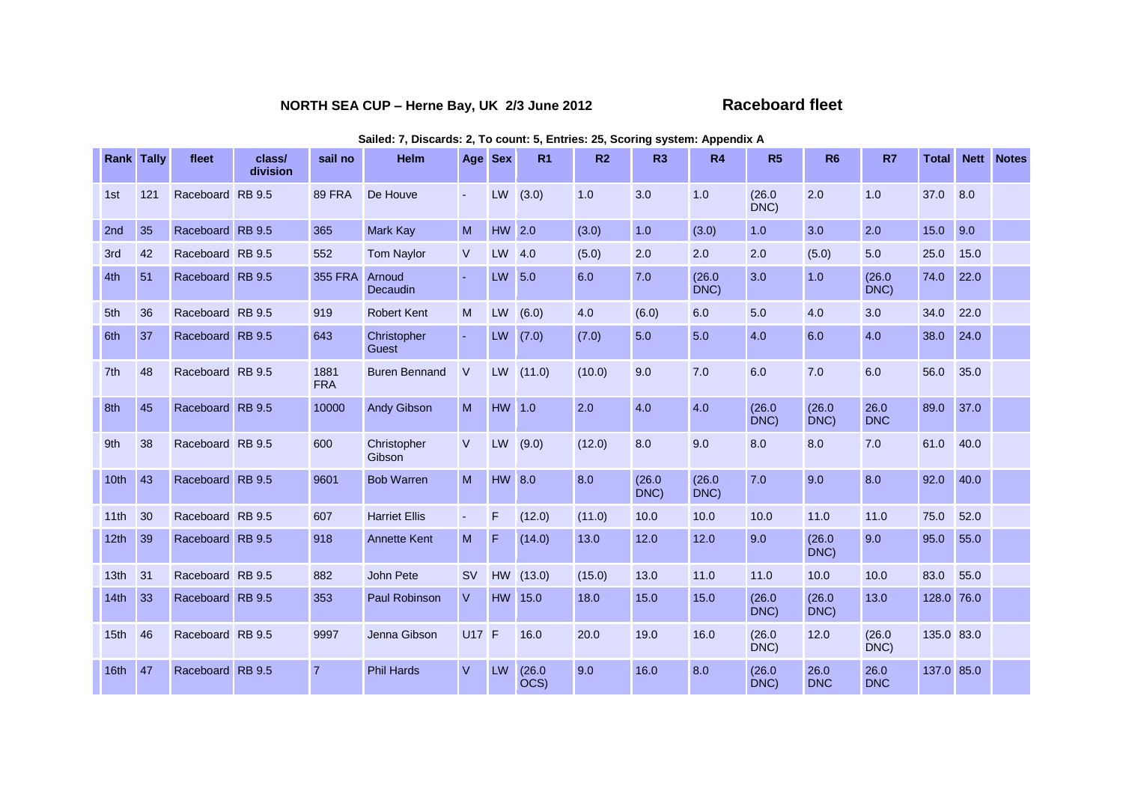## **NORTH SEA CUP – Herne Bay, UK 2/3 June 2012 Raceboard fleet**

| <b>Rank Tally</b> |     | fleet            | class/<br>division | sail no            | <b>Helm</b>           | Age Sex        |           | R <sub>1</sub> | R <sub>2</sub> | R <sub>3</sub> | R <sub>4</sub> | R <sub>5</sub> | <b>R6</b>          | R7                 | <b>Total</b> |      | <b>Nett</b> Notes |
|-------------------|-----|------------------|--------------------|--------------------|-----------------------|----------------|-----------|----------------|----------------|----------------|----------------|----------------|--------------------|--------------------|--------------|------|-------------------|
| 1st               | 121 | Raceboard RB 9.5 |                    | <b>89 FRA</b>      | De Houve              | $\blacksquare$ | LW        | (3.0)          | 1.0            | 3.0            | 1.0            | (26.0)<br>DNC) | 2.0                | 1.0                | 37.0         | 8.0  |                   |
| 2nd               | 35  | Raceboard RB 9.5 |                    | 365                | <b>Mark Kay</b>       | M              | HW 2.0    |                | (3.0)          | 1.0            | (3.0)          | 1.0            | 3.0                | 2.0                | 15.0         | 9.0  |                   |
| 3rd               | 42  | Raceboard RB 9.5 |                    | 552                | <b>Tom Naylor</b>     | $\vee$         | LW        | 4.0            | (5.0)          | 2.0            | 2.0            | 2.0            | (5.0)              | 5.0                | 25.0         | 15.0 |                   |
| 4th               | 51  | Raceboard RB 9.5 |                    | <b>355 FRA</b>     | Arnoud<br>Decaudin    |                | LW 5.0    |                | 6.0            | 7.0            | (26.0)<br>DNC) | 3.0            | 1.0                | (26.0)<br>DNC)     | 74.0         | 22.0 |                   |
| 5th               | 36  | Raceboard RB 9.5 |                    | 919                | <b>Robert Kent</b>    | M              | LW        | (6.0)          | 4.0            | (6.0)          | 6.0            | 5.0            | 4.0                | 3.0                | 34.0         | 22.0 |                   |
| 6th               | 37  | Raceboard RB 9.5 |                    | 643                | Christopher<br>Guest  | $\blacksquare$ | LW        | (7.0)          | (7.0)          | 5.0            | 5.0            | 4.0            | 6.0                | 4.0                | 38.0         | 24.0 |                   |
| 7th               | 48  | Raceboard RB 9.5 |                    | 1881<br><b>FRA</b> | <b>Buren Bennand</b>  | $\vee$         | LW        | (11.0)         | (10.0)         | 9.0            | 7.0            | 6.0            | 7.0                | 6.0                | 56.0         | 35.0 |                   |
| 8th               | 45  | Raceboard RB 9.5 |                    | 10000              | <b>Andy Gibson</b>    | M              | HW 1.0    |                | 2.0            | 4.0            | 4.0            | (26.0)<br>DNC) | (26.0)<br>DNC)     | 26.0<br><b>DNC</b> | 89.0         | 37.0 |                   |
| 9th               | 38  | Raceboard RB 9.5 |                    | 600                | Christopher<br>Gibson | $\vee$         | LW        | (9.0)          | (12.0)         | 8.0            | 9.0            | 8.0            | 8.0                | 7.0                | 61.0         | 40.0 |                   |
| 10th              | 43  | Raceboard RB 9.5 |                    | 9601               | <b>Bob Warren</b>     | M              | HW 8.0    |                | 8.0            | (26.0)<br>DNC) | (26.0)<br>DNC) | 7.0            | 9.0                | 8.0                | 92.0         | 40.0 |                   |
| 11th              | 30  | Raceboard RB 9.5 |                    | 607                | <b>Harriet Ellis</b>  | $\blacksquare$ | F         | (12.0)         | (11.0)         | 10.0           | 10.0           | 10.0           | 11.0               | 11.0               | 75.0         | 52.0 |                   |
| 12 <sub>th</sub>  | 39  | Raceboard RB 9.5 |                    | 918                | <b>Annette Kent</b>   | M              | F         | (14.0)         | 13.0           | 12.0           | 12.0           | 9.0            | (26.0)<br>DNC)     | 9.0                | 95.0         | 55.0 |                   |
| 13 <sub>th</sub>  | 31  | Raceboard RB 9.5 |                    | 882                | <b>John Pete</b>      | <b>SV</b>      | <b>HW</b> | (13.0)         | (15.0)         | 13.0           | 11.0           | 11.0           | 10.0               | 10.0               | 83.0         | 55.0 |                   |
| 14th              | 33  | Raceboard RB 9.5 |                    | 353                | Paul Robinson         | V              |           | HW 15.0        | 18.0           | 15.0           | 15.0           | (26.0)<br>DNC) | (26.0)<br>DNC)     | 13.0               | 128.0 76.0   |      |                   |
| 15th              | 46  | Raceboard RB 9.5 |                    | 9997               | Jenna Gibson          | <b>U17 F</b>   |           | 16.0           | 20.0           | 19.0           | 16.0           | (26.0)<br>DNC) | 12.0               | (26.0)<br>DNC)     | 135.0 83.0   |      |                   |
| 16th              | 47  | Raceboard RB 9.5 |                    | $\overline{7}$     | <b>Phil Hards</b>     | $\vee$         | LW        | (26.0)<br>OCS) | 9.0            | 16.0           | 8.0            | (26.0)<br>DNC) | 26.0<br><b>DNC</b> | 26.0<br><b>DNC</b> | 137.0 85.0   |      |                   |

**Sailed: 7, Discards: 2, To count: 5, Entries: 25, Scoring system: Appendix A**